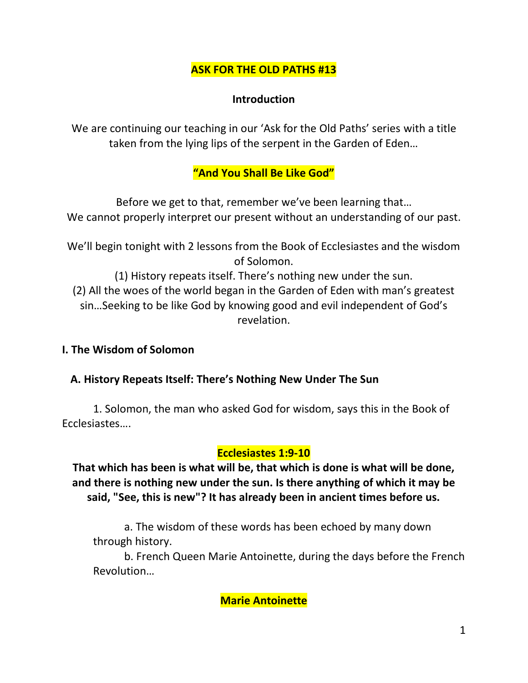## **ASK FOR THE OLD PATHS #13**

### **Introduction**

We are continuing our teaching in our 'Ask for the Old Paths' series with a title taken from the lying lips of the serpent in the Garden of Eden…

## **"And You Shall Be Like God"**

Before we get to that, remember we've been learning that… We cannot properly interpret our present without an understanding of our past.

We'll begin tonight with 2 lessons from the Book of Ecclesiastes and the wisdom of Solomon.

(1) History repeats itself. There's nothing new under the sun. (2) All the woes of the world began in the Garden of Eden with man's greatest sin…Seeking to be like God by knowing good and evil independent of God's revelation.

### **I. The Wisdom of Solomon**

### **A. History Repeats Itself: There's Nothing New Under The Sun**

 1. Solomon, the man who asked God for wisdom, says this in the Book of Ecclesiastes….

#### **Ecclesiastes 1:9-10**

**That which has been is what will be, that which is done is what will be done, and there is nothing new under the sun. Is there anything of which it may be said, "See, this is new"? It has already been in ancient times before us.** 

a. The wisdom of these words has been echoed by many down through history.

b. French Queen Marie Antoinette, during the days before the French Revolution…

**Marie Antoinette**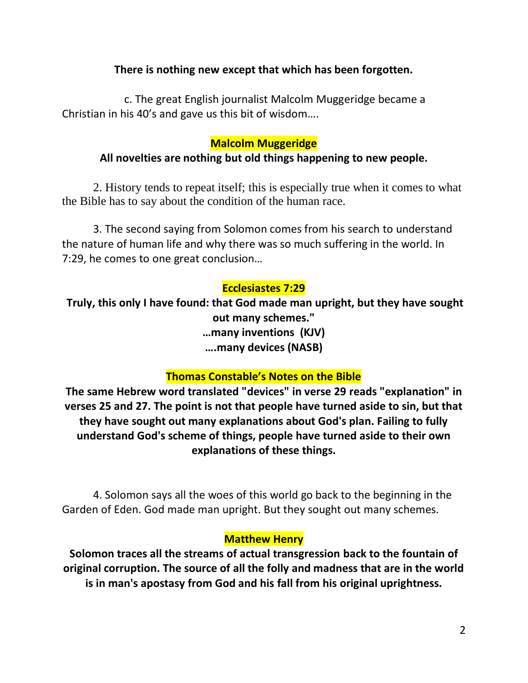### **There is nothing new except that which has been forgotten.**

c. The great English journalist Malcolm Muggeridge became a Christian in his 40's and gave us this bit of wisdom….

### **Malcolm Muggeridge**

### **All novelties are nothing but old things happening to new people.**

2. History tends to repeat itself; this is especially true when it comes to what the Bible has to say about the condition of the human race.

3. The second saying from Solomon comes from his search to understand the nature of human life and why there was so much suffering in the world. In 7:29, he comes to one great conclusion…

### **Ecclesiastes 7:29**

**Truly, this only I have found: that God made man upright, but they have sought out many schemes." …many inventions (KJV) ….many devices (NASB)**

### **Thomas Constable's Notes on the Bible**

**The same Hebrew word translated "devices" in verse 29 reads "explanation" in verses 25 and 27. The point is not that people have turned aside to sin, but that they have sought out many explanations about God's plan. Failing to fully understand God's scheme of things, people have turned aside to their own explanations of these things.**

4. Solomon says all the woes of this world go back to the beginning in the Garden of Eden. God made man upright. But they sought out many schemes.

#### **Matthew Henry**

**Solomon traces all the streams of actual transgression back to the fountain of original corruption. The source of all the folly and madness that are in the world is in man's apostasy from God and his fall from his original uprightness.**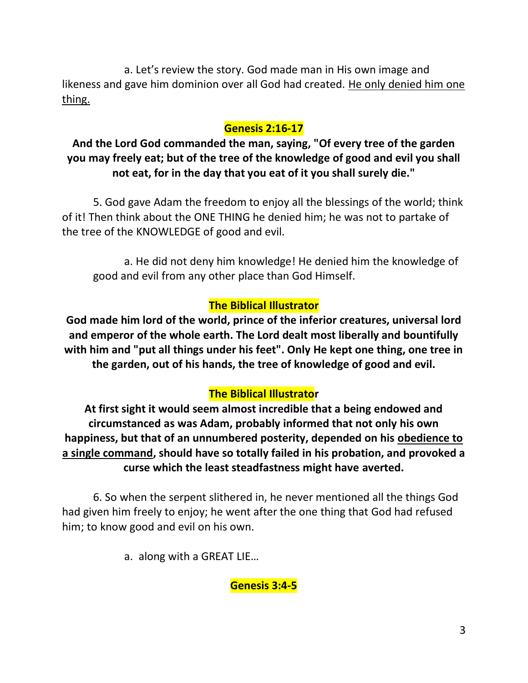a. Let's review the story. God made man in His own image and likeness and gave him dominion over all God had created. He only denied him one thing.

# **Genesis 2:16-17**

# **And the Lord God commanded the man, saying, "Of every tree of the garden you may freely eat; but of the tree of the knowledge of good and evil you shall not eat, for in the day that you eat of it you shall surely die."**

5. God gave Adam the freedom to enjoy all the blessings of the world; think of it! Then think about the ONE THING he denied him; he was not to partake of the tree of the KNOWLEDGE of good and evil.

a. He did not deny him knowledge! He denied him the knowledge of good and evil from any other place than God Himself.

## **The Biblical Illustrator**

**God made him lord of the world, prince of the inferior creatures, universal lord and emperor of the whole earth. The Lord dealt most liberally and bountifully with him and "put all things under his feet". Only He kept one thing, one tree in the garden, out of his hands, the tree of knowledge of good and evil.**

# **The Biblical Illustrator**

**At first sight it would seem almost incredible that a being endowed and circumstanced as was Adam, probably informed that not only his own happiness, but that of an unnumbered posterity, depended on his obedience to a single command, should have so totally failed in his probation, and provoked a curse which the least steadfastness might have averted.**

6. So when the serpent slithered in, he never mentioned all the things God had given him freely to enjoy; he went after the one thing that God had refused him; to know good and evil on his own.

a. along with a GREAT LIE…

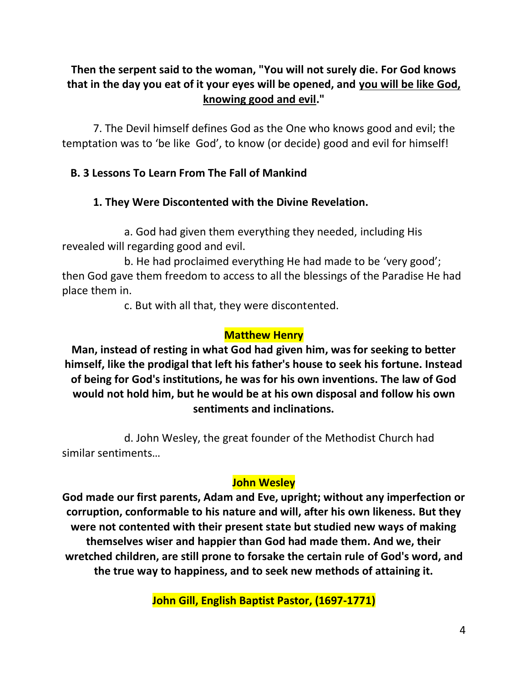# **Then the serpent said to the woman, "You will not surely die. For God knows that in the day you eat of it your eyes will be opened, and you will be like God, knowing good and evil."**

7. The Devil himself defines God as the One who knows good and evil; the temptation was to 'be like God', to know (or decide) good and evil for himself!

## **B. 3 Lessons To Learn From The Fall of Mankind**

### **1. They Were Discontented with the Divine Revelation.**

a. God had given them everything they needed, including His revealed will regarding good and evil.

b. He had proclaimed everything He had made to be 'very good'; then God gave them freedom to access to all the blessings of the Paradise He had place them in.

c. But with all that, they were discontented.

## **Matthew Henry**

**Man, instead of resting in what God had given him, was for seeking to better himself, like the prodigal that left his father's house to seek his fortune. Instead of being for God's institutions, he was for his own inventions. The law of God would not hold him, but he would be at his own disposal and follow his own sentiments and inclinations.** 

d. John Wesley, the great founder of the Methodist Church had similar sentiments…

## **John Wesley**

**God made our first parents, Adam and Eve, upright; without any imperfection or corruption, conformable to his nature and will, after his own likeness. But they were not contented with their present state but studied new ways of making themselves wiser and happier than God had made them. And we, their wretched children, are still prone to forsake the certain rule of God's word, and the true way to happiness, and to seek new methods of attaining it.**

**John Gill, English Baptist Pastor, (1697-1771)**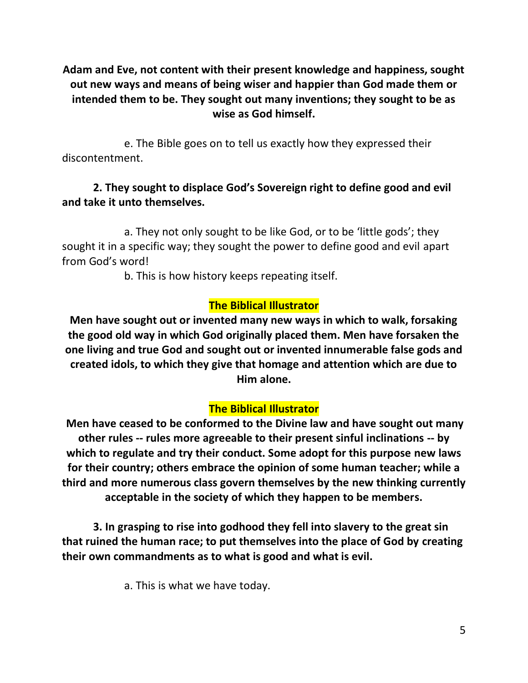**Adam and Eve, not content with their present knowledge and happiness, sought out new ways and means of being wiser and happier than God made them or intended them to be. They sought out many inventions; they sought to be as wise as God himself.**

e. The Bible goes on to tell us exactly how they expressed their discontentment.

## **2. They sought to displace God's Sovereign right to define good and evil and take it unto themselves.**

a. They not only sought to be like God, or to be 'little gods'; they sought it in a specific way; they sought the power to define good and evil apart from God's word!

b. This is how history keeps repeating itself.

## **The Biblical Illustrator**

**Men have sought out or invented many new ways in which to walk, forsaking the good old way in which God originally placed them. Men have forsaken the one living and true God and sought out or invented innumerable false gods and created idols, to which they give that homage and attention which are due to Him alone.**

## **The Biblical Illustrator**

**Men have ceased to be conformed to the Divine law and have sought out many other rules -- rules more agreeable to their present sinful inclinations -- by which to regulate and try their conduct. Some adopt for this purpose new laws for their country; others embrace the opinion of some human teacher; while a third and more numerous class govern themselves by the new thinking currently acceptable in the society of which they happen to be members.**

**3. In grasping to rise into godhood they fell into slavery to the great sin that ruined the human race; to put themselves into the place of God by creating their own commandments as to what is good and what is evil.**

a. This is what we have today.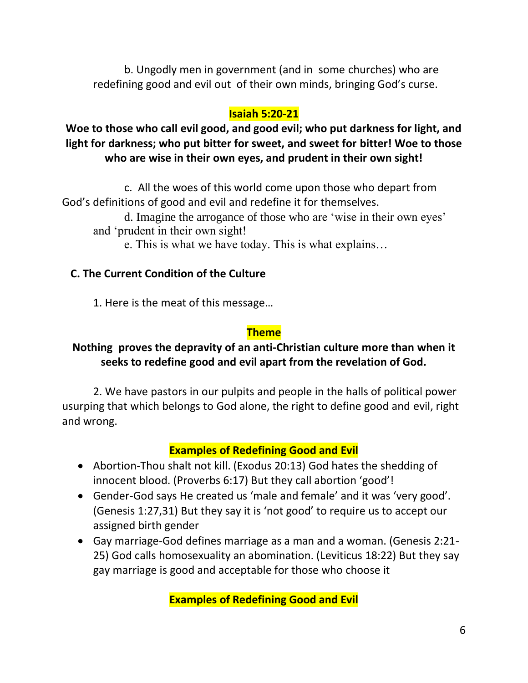b. Ungodly men in government (and in some churches) who are redefining good and evil out of their own minds, bringing God's curse.

## **Isaiah 5:20-21**

**Woe to those who call evil good, and good evil; who put darkness for light, and light for darkness; who put bitter for sweet, and sweet for bitter! Woe to those who are wise in their own eyes, and prudent in their own sight!**

c. All the woes of this world come upon those who depart from God's definitions of good and evil and redefine it for themselves.

d. Imagine the arrogance of those who are 'wise in their own eyes' and 'prudent in their own sight!

e. This is what we have today. This is what explains…

### **C. The Current Condition of the Culture**

1. Here is the meat of this message…

### **Theme**

### **Nothing proves the depravity of an anti-Christian culture more than when it seeks to redefine good and evil apart from the revelation of God.**

2. We have pastors in our pulpits and people in the halls of political power usurping that which belongs to God alone, the right to define good and evil, right and wrong.

## **Examples of Redefining Good and Evil**

- Abortion-Thou shalt not kill. (Exodus 20:13) God hates the shedding of innocent blood. (Proverbs 6:17) But they call abortion 'good'!
- Gender-God says He created us 'male and female' and it was 'very good'. (Genesis 1:27,31) But they say it is 'not good' to require us to accept our assigned birth gender
- Gay marriage-God defines marriage as a man and a woman. (Genesis 2:21- 25) God calls homosexuality an abomination. (Leviticus 18:22) But they say gay marriage is good and acceptable for those who choose it

**Examples of Redefining Good and Evil**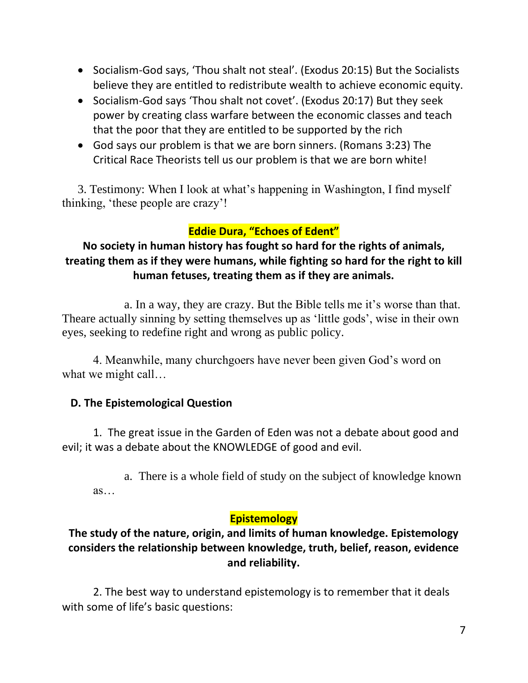- Socialism-God says, 'Thou shalt not steal'. (Exodus 20:15) But the Socialists believe they are entitled to redistribute wealth to achieve economic equity.
- Socialism-God says 'Thou shalt not covet'. (Exodus 20:17) But they seek power by creating class warfare between the economic classes and teach that the poor that they are entitled to be supported by the rich
- God says our problem is that we are born sinners. (Romans 3:23) The Critical Race Theorists tell us our problem is that we are born white!

3. Testimony: When I look at what's happening in Washington, I find myself thinking, 'these people are crazy'!

# **Eddie Dura, "Echoes of Edent"**

# **No society in human history has fought so hard for the rights of animals, treating them as if they were humans, while fighting so hard for the right to kill human fetuses, treating them as if they are animals.**

a. In a way, they are crazy. But the Bible tells me it's worse than that. Theare actually sinning by setting themselves up as 'little gods', wise in their own eyes, seeking to redefine right and wrong as public policy.

4. Meanwhile, many churchgoers have never been given God's word on what we might call...

## **D. The Epistemological Question**

1. The great issue in the Garden of Eden was not a debate about good and evil; it was a debate about the KNOWLEDGE of good and evil.

a. There is a whole field of study on the subject of knowledge known as…

## **Epistemology**

## **The study of the nature, origin, and limits of human knowledge. Epistemology considers the relationship between knowledge, truth, belief, reason, evidence and reliability.**

2. The best way to understand epistemology is to remember that it deals with some of life's basic questions: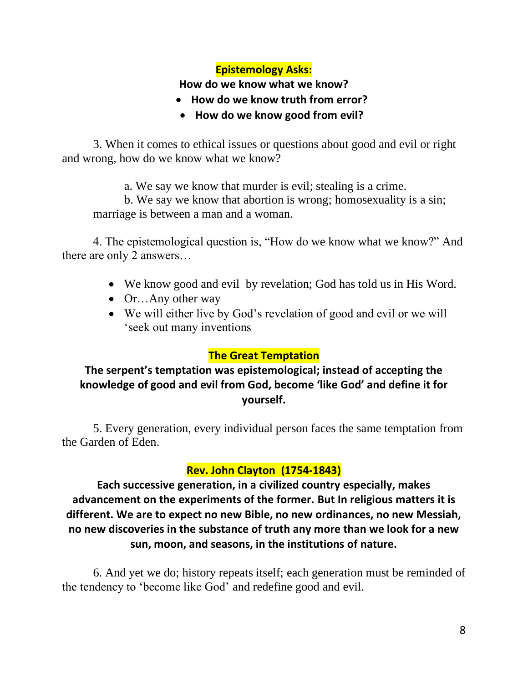## **Epistemology Asks:**

#### **How do we know what we know?**

- **How do we know truth from error?**
- **How do we know good from evil?**

3. When it comes to ethical issues or questions about good and evil or right and wrong, how do we know what we know?

a. We say we know that murder is evil; stealing is a crime.

b. We say we know that abortion is wrong; homosexuality is a sin; marriage is between a man and a woman.

4. The epistemological question is, "How do we know what we know?" And there are only 2 answers...

- We know good and evil by revelation; God has told us in His Word.
- Or...Any other way
- We will either live by God's revelation of good and evil or we will 'seek out many inventions

### **The Great Temptation**

## **The serpent's temptation was epistemological; instead of accepting the knowledge of good and evil from God, become 'like God' and define it for yourself.**

5. Every generation, every individual person faces the same temptation from the Garden of Eden.

## **Rev. John Clayton (1754-1843)**

**Each successive generation, in a civilized country especially, makes advancement on the experiments of the former. But In religious matters it is different. We are to expect no new Bible, no new ordinances, no new Messiah, no new discoveries in the substance of truth any more than we look for a new sun, moon, and seasons, in the institutions of nature.**

6. And yet we do; history repeats itself; each generation must be reminded of the tendency to 'become like God' and redefine good and evil.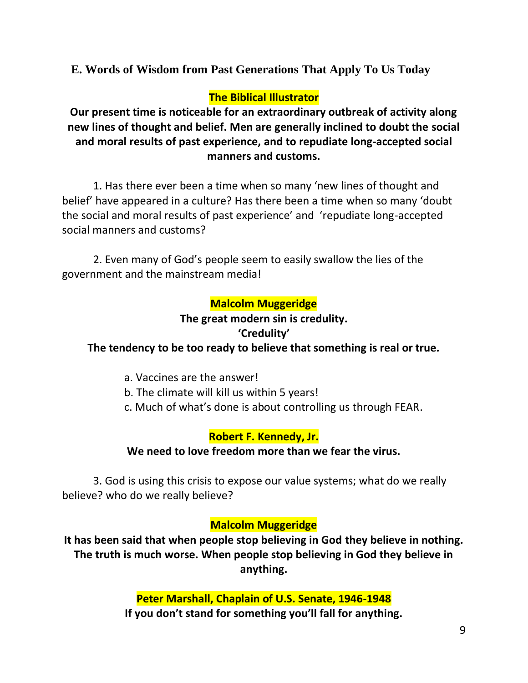**E. Words of Wisdom from Past Generations That Apply To Us Today**

## **The Biblical Illustrator**

**Our present time is noticeable for an extraordinary outbreak of activity along new lines of thought and belief. Men are generally inclined to doubt the social and moral results of past experience, and to repudiate long-accepted social manners and customs.** 

1. Has there ever been a time when so many 'new lines of thought and belief' have appeared in a culture? Has there been a time when so many 'doubt the social and moral results of past experience' and 'repudiate long-accepted social manners and customs?

2. Even many of God's people seem to easily swallow the lies of the government and the mainstream media!

## **Malcolm Muggeridge**

#### **The great modern sin is credulity. 'Credulity'**

# **The tendency to be too ready to believe that something is real or true.**

- a. Vaccines are the answer!
- b. The climate will kill us within 5 years!
- c. Much of what's done is about controlling us through FEAR.

## **Robert F. Kennedy, Jr.**

### **We need to love freedom more than we fear the virus.**

3. God is using this crisis to expose our value systems; what do we really believe? who do we really believe?

## **Malcolm Muggeridge**

**It has been said that when people stop believing in God they believe in nothing. The truth is much worse. When people stop believing in God they believe in anything.**

## **Peter Marshall, Chaplain of U.S. Senate, 1946-1948**

**If you don't stand for something you'll fall for anything.**